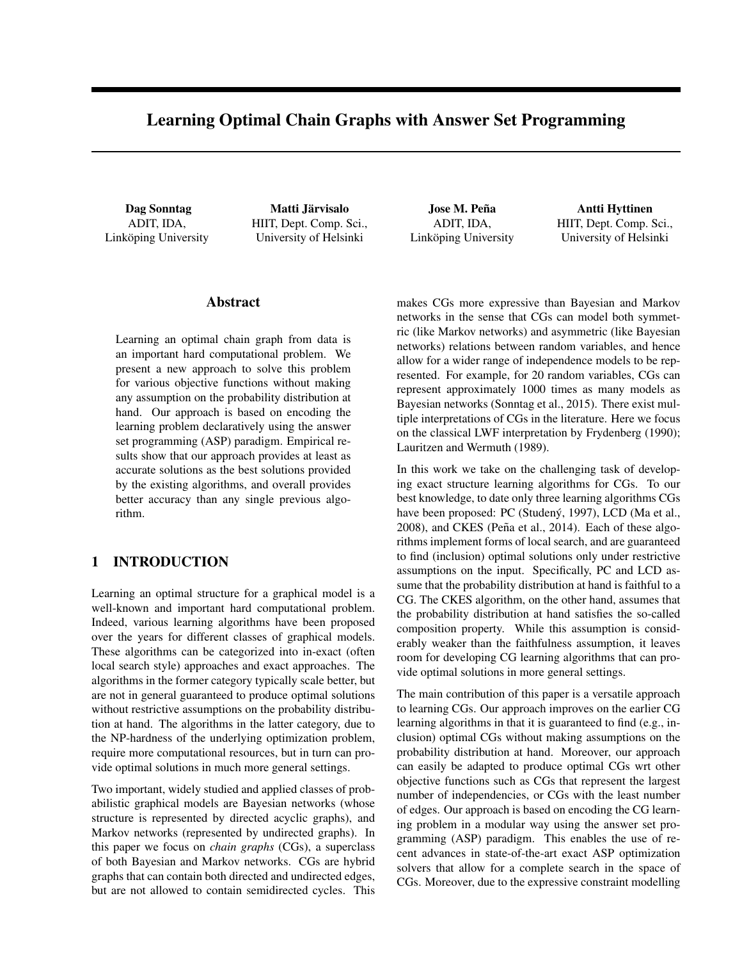# Learning Optimal Chain Graphs with Answer Set Programming

Dag Sonntag ADIT, IDA, Linköping University

Matti Järvisalo HIIT, Dept. Comp. Sci., University of Helsinki

Jose M. Peña ADIT, IDA, Linköping University

Antti Hyttinen HIIT, Dept. Comp. Sci., University of Helsinki

### Abstract

Learning an optimal chain graph from data is an important hard computational problem. We present a new approach to solve this problem for various objective functions without making any assumption on the probability distribution at hand. Our approach is based on encoding the learning problem declaratively using the answer set programming (ASP) paradigm. Empirical results show that our approach provides at least as accurate solutions as the best solutions provided by the existing algorithms, and overall provides better accuracy than any single previous algorithm.

## 1 INTRODUCTION

Learning an optimal structure for a graphical model is a well-known and important hard computational problem. Indeed, various learning algorithms have been proposed over the years for different classes of graphical models. These algorithms can be categorized into in-exact (often local search style) approaches and exact approaches. The algorithms in the former category typically scale better, but are not in general guaranteed to produce optimal solutions without restrictive assumptions on the probability distribution at hand. The algorithms in the latter category, due to the NP-hardness of the underlying optimization problem, require more computational resources, but in turn can provide optimal solutions in much more general settings.

Two important, widely studied and applied classes of probabilistic graphical models are Bayesian networks (whose structure is represented by directed acyclic graphs), and Markov networks (represented by undirected graphs). In this paper we focus on *chain graphs* (CGs), a superclass of both Bayesian and Markov networks. CGs are hybrid graphs that can contain both directed and undirected edges, but are not allowed to contain semidirected cycles. This

makes CGs more expressive than Bayesian and Markov networks in the sense that CGs can model both symmetric (like Markov networks) and asymmetric (like Bayesian networks) relations between random variables, and hence allow for a wider range of independence models to be represented. For example, for 20 random variables, CGs can represent approximately 1000 times as many models as Bayesian networks (Sonntag et al., 2015). There exist multiple interpretations of CGs in the literature. Here we focus on the classical LWF interpretation by Frydenberg (1990); Lauritzen and Wermuth (1989).

In this work we take on the challenging task of developing exact structure learning algorithms for CGs. To our best knowledge, to date only three learning algorithms CGs have been proposed: PC (Studený, 1997), LCD (Ma et al., 2008), and CKES (Peña et al., 2014). Each of these algorithms implement forms of local search, and are guaranteed to find (inclusion) optimal solutions only under restrictive assumptions on the input. Specifically, PC and LCD assume that the probability distribution at hand is faithful to a CG. The CKES algorithm, on the other hand, assumes that the probability distribution at hand satisfies the so-called composition property. While this assumption is considerably weaker than the faithfulness assumption, it leaves room for developing CG learning algorithms that can provide optimal solutions in more general settings.

The main contribution of this paper is a versatile approach to learning CGs. Our approach improves on the earlier CG learning algorithms in that it is guaranteed to find (e.g., inclusion) optimal CGs without making assumptions on the probability distribution at hand. Moreover, our approach can easily be adapted to produce optimal CGs wrt other objective functions such as CGs that represent the largest number of independencies, or CGs with the least number of edges. Our approach is based on encoding the CG learning problem in a modular way using the answer set programming (ASP) paradigm. This enables the use of recent advances in state-of-the-art exact ASP optimization solvers that allow for a complete search in the space of CGs. Moreover, due to the expressive constraint modelling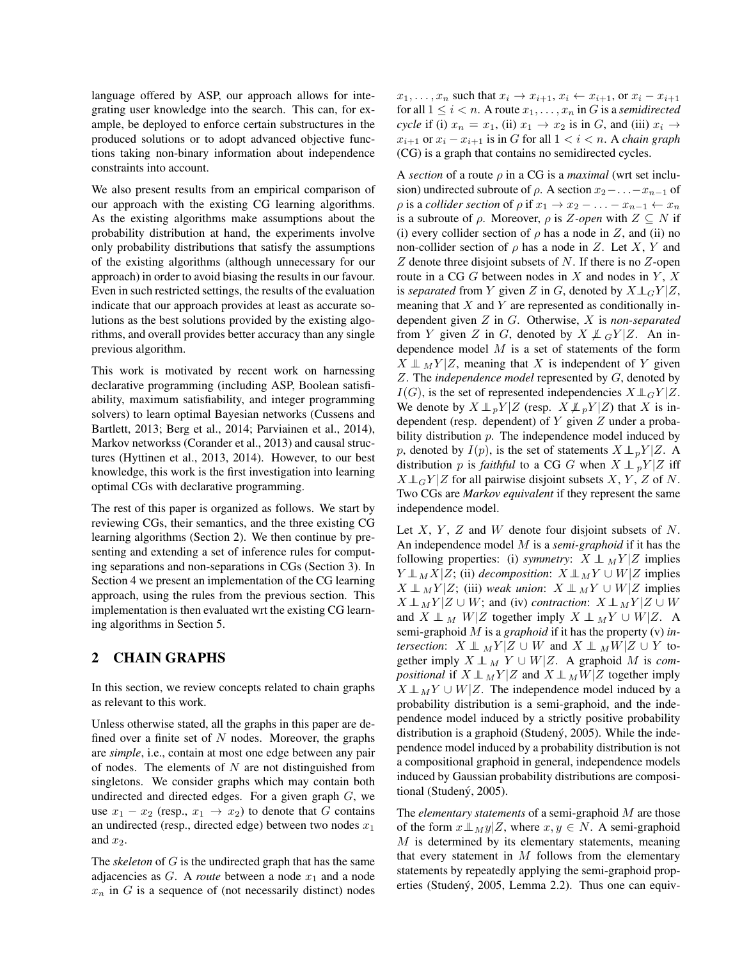language offered by ASP, our approach allows for integrating user knowledge into the search. This can, for example, be deployed to enforce certain substructures in the produced solutions or to adopt advanced objective functions taking non-binary information about independence constraints into account.

We also present results from an empirical comparison of our approach with the existing CG learning algorithms. As the existing algorithms make assumptions about the probability distribution at hand, the experiments involve only probability distributions that satisfy the assumptions of the existing algorithms (although unnecessary for our approach) in order to avoid biasing the results in our favour. Even in such restricted settings, the results of the evaluation indicate that our approach provides at least as accurate solutions as the best solutions provided by the existing algorithms, and overall provides better accuracy than any single previous algorithm.

This work is motivated by recent work on harnessing declarative programming (including ASP, Boolean satisfiability, maximum satisfiability, and integer programming solvers) to learn optimal Bayesian networks (Cussens and Bartlett, 2013; Berg et al., 2014; Parviainen et al., 2014), Markov networkss (Corander et al., 2013) and causal structures (Hyttinen et al., 2013, 2014). However, to our best knowledge, this work is the first investigation into learning optimal CGs with declarative programming.

The rest of this paper is organized as follows. We start by reviewing CGs, their semantics, and the three existing CG learning algorithms (Section 2). We then continue by presenting and extending a set of inference rules for computing separations and non-separations in CGs (Section 3). In Section 4 we present an implementation of the CG learning approach, using the rules from the previous section. This implementation is then evaluated wrt the existing CG learning algorithms in Section 5.

# 2 CHAIN GRAPHS

In this section, we review concepts related to chain graphs as relevant to this work.

Unless otherwise stated, all the graphs in this paper are defined over a finite set of  $N$  nodes. Moreover, the graphs are *simple*, i.e., contain at most one edge between any pair of nodes. The elements of  $N$  are not distinguished from singletons. We consider graphs which may contain both undirected and directed edges. For a given graph  $G$ , we use  $x_1 - x_2$  (resp.,  $x_1 \rightarrow x_2$ ) to denote that G contains an undirected (resp., directed edge) between two nodes  $x_1$ and  $x_2$ .

The *skeleton* of G is the undirected graph that has the same adjacencies as  $G$ . A *route* between a node  $x_1$  and a node  $x_n$  in G is a sequence of (not necessarily distinct) nodes  $x_1, \ldots, x_n$  such that  $x_i \rightarrow x_{i+1}, x_i \leftarrow x_{i+1}$ , or  $x_i - x_{i+1}$ for all  $1 \leq i < n$ . A route  $x_1, \ldots, x_n$  in G is a *semidirected cycle* if (i)  $x_n = x_1$ , (ii)  $x_1 \rightarrow x_2$  is in G, and (iii)  $x_i \rightarrow$  $x_{i+1}$  or  $x_i - x_{i+1}$  is in G for all  $1 < i < n$ . A *chain graph* (CG) is a graph that contains no semidirected cycles.

A *section* of a route ρ in a CG is a *maximal* (wrt set inclusion) undirected subroute of  $\rho$ . A section  $x_2 - \ldots - x_{n-1}$  of  $\rho$  is a *collider section* of  $\rho$  if  $x_1 \to x_2 - \ldots - x_{n-1} \leftarrow x_n$ is a subroute of  $\rho$ . Moreover,  $\rho$  is *Z*-*open* with  $Z \subseteq N$  if (i) every collider section of  $\rho$  has a node in Z, and (ii) no non-collider section of  $\rho$  has a node in Z. Let X, Y and Z denote three disjoint subsets of N. If there is no  $Z$ -open route in a CG  $G$  between nodes in  $X$  and nodes in  $Y$ ,  $X$ is *separated* from Y given Z in G, denoted by  $X \perp G Y | Z$ , meaning that  $X$  and  $Y$  are represented as conditionally independent given Z in G. Otherwise, X is *non-separated* from Y given Z in G, denoted by  $X \not\perp G Y | Z$ . An independence model  $M$  is a set of statements of the form  $X \perp \!\!\!\perp_M Y | Z$ , meaning that X is independent of Y given Z. The *independence model* represented by G, denoted by  $I(G)$ , is the set of represented independencies  $X \perp G Y | Z$ . We denote by  $X \perp_{p} Y | Z$  (resp.  $X \not\perp_{p} Y | Z$ ) that X is independent (resp. dependent) of  $Y$  given  $Z$  under a probability distribution  $p$ . The independence model induced by p, denoted by  $I(p)$ , is the set of statements  $X \perp p Y | Z$ . A distribution p is *faithful* to a CG G when  $X \perp p Y | Z$  iff  $X \perp G_Y Z$  for all pairwise disjoint subsets X, Y, Z of N. Two CGs are *Markov equivalent* if they represent the same independence model.

Let  $X$ ,  $Y$ ,  $Z$  and  $W$  denote four disjoint subsets of  $N$ . An independence model M is a *semi-graphoid* if it has the following properties: (i) *symmetry*:  $X \perp M Y | Z$  implies  $Y \perp_M X | Z$ ; (ii) *decomposition*:  $X \perp_M Y \cup W | Z$  implies  $X \perp \!\!\!\perp_M Y | Z$ ; (iii) *weak union*:  $X \perp \!\!\!\perp_M Y \cup W | Z$  implies  $X \perp M Y | Z \cup W$ ; and (iv) *contraction*:  $X \perp M Y | Z \cup W$ and  $X \perp_M W/Z$  together imply  $X \perp_M Y \cup W/Z$ . A semi-graphoid M is a *graphoid* if it has the property (v) *intersection*:  $X \perp M Y | Z \cup W$  and  $X \perp M W | Z \cup Y$  together imply  $X \perp M Y \cup W/Z$ . A graphoid M is *compositional* if  $X \perp M Y | Z$  and  $X \perp M W | Z$  together imply  $X \perp M Y \cup W | Z$ . The independence model induced by a probability distribution is a semi-graphoid, and the independence model induced by a strictly positive probability distribution is a graphoid (Studený, 2005). While the independence model induced by a probability distribution is not a compositional graphoid in general, independence models induced by Gaussian probability distributions are compositional (Studený, 2005).

The *elementary statements* of a semi-graphoid M are those of the form  $x \perp_M y | Z$ , where  $x, y \in N$ . A semi-graphoid M is determined by its elementary statements, meaning that every statement in  $M$  follows from the elementary statements by repeatedly applying the semi-graphoid properties (Studený, 2005, Lemma 2.2). Thus one can equiv-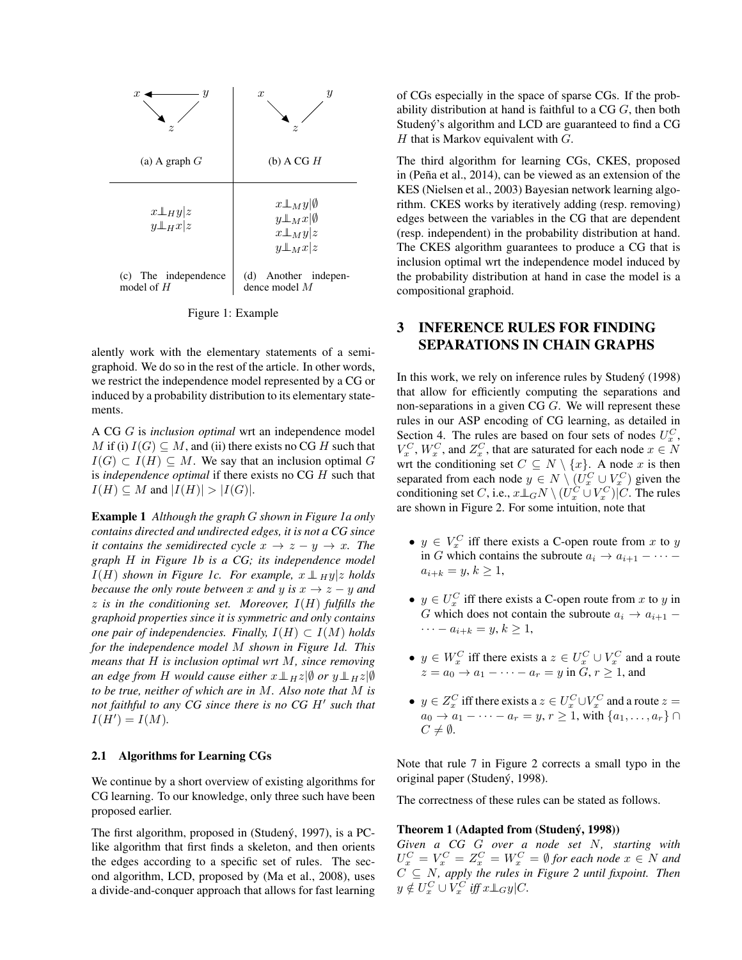| Y<br>$\boldsymbol{x}$<br>2                                | Y<br>$\boldsymbol{x}$<br>$\tilde{z}$                                                                           |
|-----------------------------------------------------------|----------------------------------------------------------------------------------------------------------------|
| (a) A graph $G$                                           | (b) A CG $H$                                                                                                   |
| $x \perp\!\!\!\perp_H y   z$<br>$y\perp\!\!\!\perp_H x z$ | $x\perp\!\!\!\perp_M y \emptyset$<br>$y\perp_M x \emptyset$<br>$x \perp \!\!\!\perp_M y   z$<br>$y\perp_M x z$ |
| (c) The independence<br>model of $H$                      | Another indepen-<br>(d)<br>dence model $M$                                                                     |

Figure 1: Example

alently work with the elementary statements of a semigraphoid. We do so in the rest of the article. In other words, we restrict the independence model represented by a CG or induced by a probability distribution to its elementary statements.

A CG G is *inclusion optimal* wrt an independence model M if (i)  $I(G) \subseteq M$ , and (ii) there exists no CG H such that  $I(G) \subset I(H) \subseteq M$ . We say that an inclusion optimal G is *independence optimal* if there exists no CG H such that  $I(H) \subseteq M$  and  $|I(H)| > |I(G)|$ .

Example 1 *Although the graph* G *shown in Figure 1a only contains directed and undirected edges, it is not a CG since it contains the semidirected cycle*  $x \rightarrow z - y \rightarrow x$ *. The graph* H *in Figure 1b is a CG; its independence model*  $I(H)$  *shown in Figure 1c. For example,*  $x \perp \perp_H y \mid z$  *holds because the only route between* x and y *is*  $x \rightarrow z - y$  and z *is in the conditioning set. Moreover,* I(H) *fulfills the graphoid properties since it is symmetric and only contains one pair of independencies. Finally,*  $I(H) \subset I(M)$  *holds for the independence model* M *shown in Figure 1d. This means that* H *is inclusion optimal wrt* M*, since removing an edge from* H *would cause either*  $x \perp H z|\emptyset$  *or*  $y \perp H z|\emptyset$ *to be true, neither of which are in* M*. Also note that* M *is not faithful to any CG since there is no CG H' such that*  $I(H') = I(M)$ .

#### 2.1 Algorithms for Learning CGs

We continue by a short overview of existing algorithms for CG learning. To our knowledge, only three such have been proposed earlier.

The first algorithm, proposed in (Studený, 1997), is a PClike algorithm that first finds a skeleton, and then orients the edges according to a specific set of rules. The second algorithm, LCD, proposed by (Ma et al., 2008), uses a divide-and-conquer approach that allows for fast learning of CGs especially in the space of sparse CGs. If the probability distribution at hand is faithful to a  $CGG$ , then both Studený's algorithm and LCD are guaranteed to find a CG  $H$  that is Markov equivalent with  $G$ .

The third algorithm for learning CGs, CKES, proposed in (Peña et al.,  $2014$ ), can be viewed as an extension of the KES (Nielsen et al., 2003) Bayesian network learning algorithm. CKES works by iteratively adding (resp. removing) edges between the variables in the CG that are dependent (resp. independent) in the probability distribution at hand. The CKES algorithm guarantees to produce a CG that is inclusion optimal wrt the independence model induced by the probability distribution at hand in case the model is a compositional graphoid.

# 3 INFERENCE RULES FOR FINDING SEPARATIONS IN CHAIN GRAPHS

In this work, we rely on inference rules by Studen $\dot{\gamma}$  (1998) that allow for efficiently computing the separations and non-separations in a given CG G. We will represent these rules in our ASP encoding of CG learning, as detailed in Section 4. The rules are based on four sets of nodes  $U_x^C$ ,  $V_x^C$ ,  $W_x^C$ , and  $Z_x^C$ , that are saturated for each node  $x \in N$ wrt the conditioning set  $C \subseteq N \setminus \{x\}$ . A node x is then separated from each node  $y \in N \setminus (U_x^C \cup V_x^C)$  given the conditioning set C, i.e.,  $x \bot_{G} N \setminus (U_x^C \cup V_x^C)| C.$  The rules are shown in Figure 2. For some intuition, note that

- $y \in V_x^C$  iff there exists a C-open route from x to y in G which contains the subroute  $a_i \rightarrow a_{i+1} - \cdots$  $a_{i+k} = y, k \ge 1,$
- $y \in U_x^C$  iff there exists a C-open route from x to y in G which does not contain the subroute  $a_i \rightarrow a_{i+1}$  –  $\cdots - a_{i+k} = y, k \ge 1,$
- $y \in W_x^C$  iff there exists a  $z \in U_x^C \cup V_x^C$  and a route  $z = a_0 \rightarrow a_1 - \cdots - a_r = y$  in  $G, r \ge 1$ , and
- $y \in Z_x^C$  iff there exists a  $z \in U_x^C \cup V_x^C$  and a route  $z =$  $a_0 \rightarrow a_1 - \cdots - a_r = y, r \ge 1$ , with  $\{a_1, \ldots, a_r\} \cap$  $C \neq \emptyset$ .

Note that rule 7 in Figure 2 corrects a small typo in the original paper (Studený, 1998).

The correctness of these rules can be stated as follows.

#### Theorem 1 (Adapted from (Studený, 1998))

*Given a CG* G *over a node set* N*, starting with*  $U_x^C = V_x^C = Z_x^C = W_x^C = \emptyset$  for each node  $x \in N$  and  $C \subseteq N$ , apply the rules in Figure 2 until fixpoint. Then  $y \notin U_x^C \cup V_x^C$  iff  $x \perp_G y | C$ .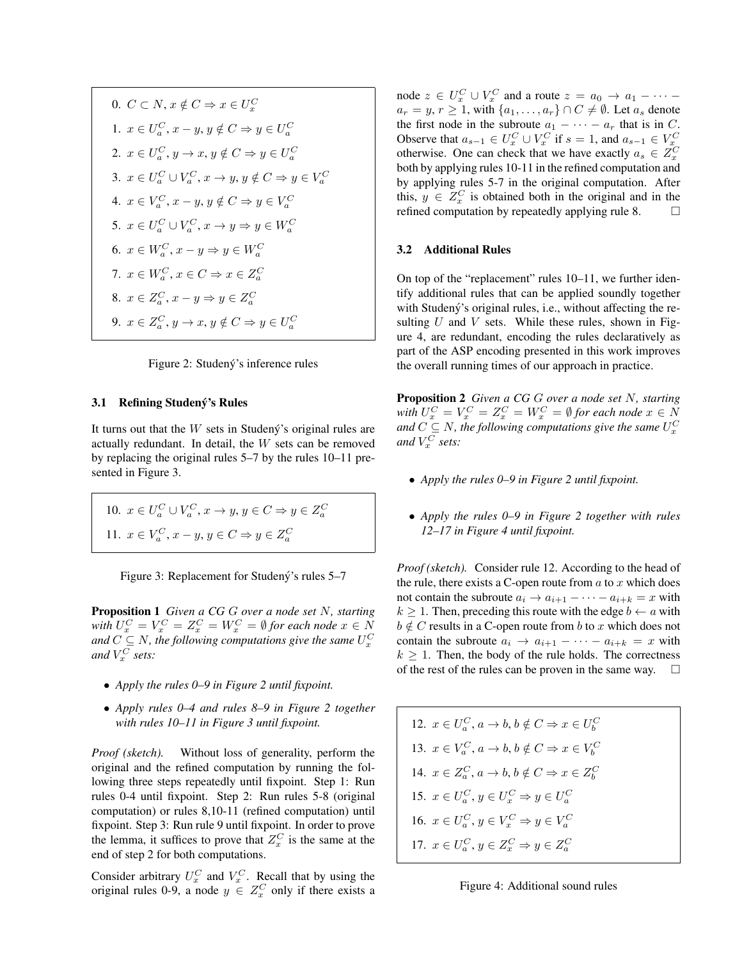0. 
$$
C \subset N
$$
,  $x \notin C \Rightarrow x \in U_x^C$ 

\n1.  $x \in U_a^C$ ,  $x - y$ ,  $y \notin C \Rightarrow y \in U_a^C$ 

\n2.  $x \in U_a^C$ ,  $y \to x$ ,  $y \notin C \Rightarrow y \in U_a^C$ 

\n3.  $x \in U_a^C \cup V_a^C$ ,  $x \to y$ ,  $y \notin C \Rightarrow y \in V_a^C$ 

\n4.  $x \in V_a^C$ ,  $x - y$ ,  $y \notin C \Rightarrow y \in V_a^C$ 

\n5.  $x \in U_a^C \cup V_a^C$ ,  $x \to y \Rightarrow y \in W_a^C$ 

\n6.  $x \in W_a^C$ ,  $x - y \Rightarrow y \in W_a^C$ 

\n7.  $x \in W_a^C$ ,  $x \in C \Rightarrow x \in Z_a^C$ 

\n8.  $x \in Z_a^C$ ,  $x \to y \to y \in Z_a^C$ 

\n9.  $x \in Z_a^C$ ,  $y \to x$ ,  $y \notin C \Rightarrow y \in U_a^C$ 

Figure 2: Studený's inference rules

#### 3.1 Refining Studený's Rules

It turns out that the  $W$  sets in Studeny's original rules are actually redundant. In detail, the W sets can be removed by replacing the original rules 5–7 by the rules 10–11 presented in Figure 3.

10. 
$$
x \in U_a^C \cup V_a^C
$$
,  $x \to y$ ,  $y \in C \Rightarrow y \in Z_a^C$   
11.  $x \in V_a^C$ ,  $x - y$ ,  $y \in C \Rightarrow y \in Z_a^C$ 

Proposition 1 *Given a CG* G *over a node set* N*, starting* with  $U_x^C = V_x^C = Z_x^C = W_x^C = \emptyset$  for each node  $x \in N$ and  $C \subseteq N$ , the following computations give the same  $U_x^C$ and  $V_x^C$  sets:

- *Apply the rules 0–9 in Figure 2 until fixpoint.*
- *Apply rules 0–4 and rules 8–9 in Figure 2 together with rules 10–11 in Figure 3 until fixpoint.*

*Proof (sketch).* Without loss of generality, perform the original and the refined computation by running the following three steps repeatedly until fixpoint. Step 1: Run rules 0-4 until fixpoint. Step 2: Run rules 5-8 (original computation) or rules 8,10-11 (refined computation) until fixpoint. Step 3: Run rule 9 until fixpoint. In order to prove the lemma, it suffices to prove that  $Z_x^C$  is the same at the end of step 2 for both computations.

Consider arbitrary  $U_x^C$  and  $V_x^C$ . Recall that by using the original rules 0-9, a node  $y \in Z_x^C$  only if there exists a

node  $z \in U_x^C \cup V_x^C$  and a route  $z = a_0 \rightarrow a_1 - \cdots$  $a_r = y, r \ge 1$ , with  $\{a_1, \ldots, a_r\} \cap C \ne \emptyset$ . Let  $a_s$  denote the first node in the subroute  $a_1 - \cdots - a_r$  that is in C. Observe that  $a_{s-1} \in U_x^C \cup V_x^C$  if  $s = 1$ , and  $a_{s-1} \in V_x^C$ <br>otherwise. One can check that we have exactly  $a_s \in Z_x^C$ both by applying rules 10-11 in the refined computation and by applying rules 5-7 in the original computation. After this,  $y \in Z_x^C$  is obtained both in the original and in the refined computation by repeatedly applying rule 8.

#### 3.2 Additional Rules

On top of the "replacement" rules 10–11, we further identify additional rules that can be applied soundly together with Studený's original rules, i.e., without affecting the resulting  $U$  and  $V$  sets. While these rules, shown in Figure 4, are redundant, encoding the rules declaratively as part of the ASP encoding presented in this work improves the overall running times of our approach in practice.

Proposition 2 *Given a CG* G *over a node set* N*, starting* with  $U_x^C = V_x^C = Z_x^C = W_x^C = \emptyset$  for each node  $x \in N$ and  $C \subseteq N$ , the following computations give the same  $U_x^C$ and  $V_x^C$  sets:

- *Apply the rules 0–9 in Figure 2 until fixpoint.*
- *Apply the rules 0–9 in Figure 2 together with rules 12–17 in Figure 4 until fixpoint.*

*Proof (sketch).* Consider rule 12. According to the head of the rule, there exists a C-open route from  $a$  to  $x$  which does not contain the subroute  $a_i \rightarrow a_{i+1} - \cdots - a_{i+k} = x$  with  $k \geq 1$ . Then, preceding this route with the edge  $b \leftarrow a$  with  $b \notin C$  results in a C-open route from b to x which does not contain the subroute  $a_i \rightarrow a_{i+1} - \cdots - a_{i+k} = x$  with  $k > 1$ . Then, the body of the rule holds. The correctness of the rest of the rules can be proven in the same way.  $\square$ 

12.  $x \in U_a^C$ ,  $a \to b$ ,  $b \notin C \Rightarrow x \in U_b^C$ 13.  $x \in V_a^C$ ,  $a \to b$ ,  $b \notin C \Rightarrow x \in V_b^C$ 14.  $x \in Z_a^C$ ,  $a \to b$ ,  $b \notin C \Rightarrow x \in Z_b^C$ 15.  $x \in U_a^C$ ,  $y \in U_x^C \Rightarrow y \in U_a^C$ 16.  $x \in U_a^C$ ,  $y \in V_x^C \Rightarrow y \in V_a^C$ 17.  $x \in U_a^C$ ,  $y \in Z_x^C \Rightarrow y \in Z_a^C$ 

Figure 4: Additional sound rules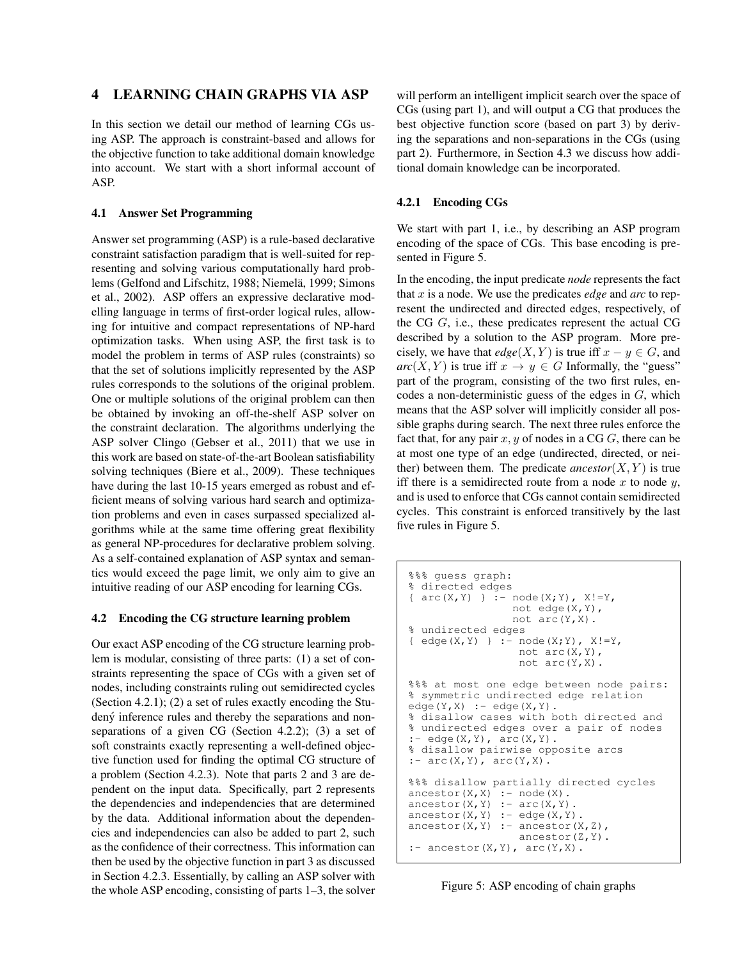### 4 LEARNING CHAIN GRAPHS VIA ASP

In this section we detail our method of learning CGs using ASP. The approach is constraint-based and allows for the objective function to take additional domain knowledge into account. We start with a short informal account of ASP.

#### 4.1 Answer Set Programming

Answer set programming (ASP) is a rule-based declarative constraint satisfaction paradigm that is well-suited for representing and solving various computationally hard problems (Gelfond and Lifschitz, 1988; Niemelä, 1999; Simons et al., 2002). ASP offers an expressive declarative modelling language in terms of first-order logical rules, allowing for intuitive and compact representations of NP-hard optimization tasks. When using ASP, the first task is to model the problem in terms of ASP rules (constraints) so that the set of solutions implicitly represented by the ASP rules corresponds to the solutions of the original problem. One or multiple solutions of the original problem can then be obtained by invoking an off-the-shelf ASP solver on the constraint declaration. The algorithms underlying the ASP solver Clingo (Gebser et al., 2011) that we use in this work are based on state-of-the-art Boolean satisfiability solving techniques (Biere et al., 2009). These techniques have during the last 10-15 years emerged as robust and efficient means of solving various hard search and optimization problems and even in cases surpassed specialized algorithms while at the same time offering great flexibility as general NP-procedures for declarative problem solving. As a self-contained explanation of ASP syntax and semantics would exceed the page limit, we only aim to give an intuitive reading of our ASP encoding for learning CGs.

#### 4.2 Encoding the CG structure learning problem

Our exact ASP encoding of the CG structure learning problem is modular, consisting of three parts: (1) a set of constraints representing the space of CGs with a given set of nodes, including constraints ruling out semidirected cycles (Section 4.2.1); (2) a set of rules exactly encoding the Studený inference rules and thereby the separations and nonseparations of a given CG (Section 4.2.2); (3) a set of soft constraints exactly representing a well-defined objective function used for finding the optimal CG structure of a problem (Section 4.2.3). Note that parts 2 and 3 are dependent on the input data. Specifically, part 2 represents the dependencies and independencies that are determined by the data. Additional information about the dependencies and independencies can also be added to part 2, such as the confidence of their correctness. This information can then be used by the objective function in part 3 as discussed in Section 4.2.3. Essentially, by calling an ASP solver with the whole ASP encoding, consisting of parts 1–3, the solver will perform an intelligent implicit search over the space of CGs (using part 1), and will output a CG that produces the best objective function score (based on part 3) by deriving the separations and non-separations in the CGs (using part 2). Furthermore, in Section 4.3 we discuss how additional domain knowledge can be incorporated.

#### 4.2.1 Encoding CGs

We start with part 1, i.e., by describing an ASP program encoding of the space of CGs. This base encoding is presented in Figure 5.

In the encoding, the input predicate *node* represents the fact that x is a node. We use the predicates *edge* and *arc* to represent the undirected and directed edges, respectively, of the CG G, i.e., these predicates represent the actual CG described by a solution to the ASP program. More precisely, we have that  $edge(X, Y)$  is true iff  $x - y \in G$ , and  $\textit{arc}(X, Y)$  is true iff  $x \to y \in G$  Informally, the "guess" part of the program, consisting of the two first rules, encodes a non-deterministic guess of the edges in  $G$ , which means that the ASP solver will implicitly consider all possible graphs during search. The next three rules enforce the fact that, for any pair  $x, y$  of nodes in a CG  $G$ , there can be at most one type of an edge (undirected, directed, or neither) between them. The predicate *ancestor* $(X, Y)$  is true iff there is a semidirected route from a node x to node  $y$ , and is used to enforce that CGs cannot contain semidirected cycles. This constraint is enforced transitively by the last five rules in Figure 5.

```
%%% guess graph:
% directed edges
{ arc(X, Y) } :- node(X; Y), X!=Y,
                   not edge(X,Y),
                   not arc(Y,X).
% undirected edges
\{ edge(X, Y) } :- node(X, Y), X!=Y,
                    not arc(X,Y),
                    not arc(Y,X).
%%% at most one edge between node pairs:
% symmetric undirected edge relation
edge(Y,X) :- edge(X,Y).
% disallow cases with both directed and
% undirected edges over a pair of nodes
:= edge(X, Y), arc(X, Y).
% disallow pairwise opposite arcs
: arc(X, Y), arc(Y, X).
%%% disallow partially directed cycles
\text{ancestor}(X,X) :- \text{node}(X).
\text{ancestor}(X, Y) \text{ :} \text{arc}(X, Y).
\texttt{ancestor}(X, Y) \texttt{ := } \texttt{edge}(X, Y) \texttt{.}\text{ancestor}(X, Y) \text{ :-} \text{ancestor}(X, Z),ancestor(Z,Y).
: ancestor(X, Y), arc(Y, X).
```
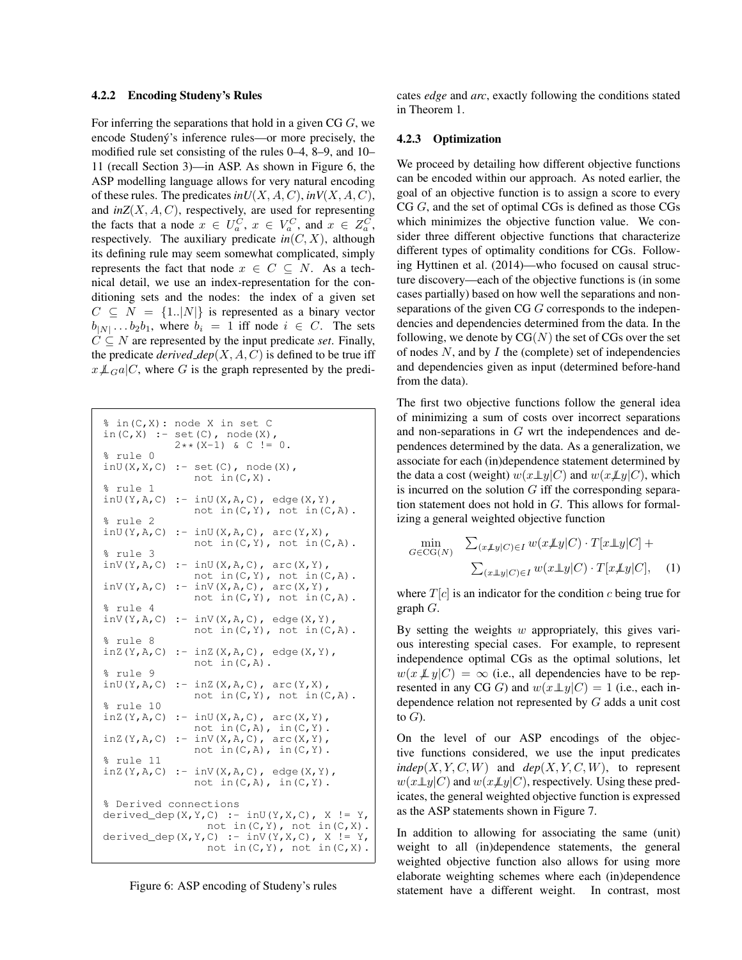#### 4.2.2 Encoding Studeny's Rules

For inferring the separations that hold in a given  $CG G$ , we encode Studený's inference rules—or more precisely, the modified rule set consisting of the rules 0–4, 8–9, and 10– 11 (recall Section 3)—in ASP. As shown in Figure 6, the ASP modelling language allows for very natural encoding of these rules. The predicates  $inU(X, A, C)$ ,  $inV(X, A, C)$ , and *inZ*(X, A, C), respectively, are used for representing the facts that a node  $x \in U_a^C$ ,  $x \in V_a^C$ , and  $x \in Z_a^C$ , respectively. The auxiliary predicate  $in(C, X)$ , although its defining rule may seem somewhat complicated, simply represents the fact that node  $x \in C \subseteq N$ . As a technical detail, we use an index-representation for the conditioning sets and the nodes: the index of a given set  $C \subseteq N = \{1..|N|\}$  is represented as a binary vector  $b_{|N|} \dots b_2 b_1$ , where  $b_i = 1$  iff node  $i \in C$ . The sets  $C \subseteq N$  are represented by the input predicate *set*. Finally, the predicate *derived\_dep* $(X, A, C)$  is defined to be true iff  $x\mathcal{L}_Ga|C$ , where G is the graph represented by the predi-

| % rule 0<br>$inv(X, X, C) := set(C)$ , node $(X)$ ,<br>not in $(C, X)$ .<br>% rule 1<br>$inv(Y, A, C) := inv(X, A, C)$ , edge $(X, Y)$ ,<br>not in $(C, Y)$ , not in $(C, A)$ .<br>% rule 2<br>inv(Y, A, C)<br>:- inU(X,A,C), $\text{arc}(Y,X)$ ,<br>not in $(C, Y)$ , not in $(C, A)$ .<br>% rule 3<br>:- inU(X,A,C), $arc(X, Y)$ ,<br>inv(Y, A, C)<br>not in $(C, Y)$ , not in $(C, A)$ .<br>inv(Y, A, C)<br>:- inV(X,A,C), $\arctan(X, Y)$ ,<br>not in $(C, Y)$ , not in $(C, A)$ .<br>% rule 4<br>$inv(Y, A, C) := inv(X, A, C)$ , edge $(X, Y)$ ,<br>not in $(C, Y)$ , not in $(C, A)$ .<br>% rule 8<br>inZ(Y,A,C) :- inZ(X,A,C), edge(X,Y),<br>not in $(C, A)$ .<br>% rule 9<br>in $U(Y, A, C)$<br>:- inZ(X,A,C), $arc(Y, X)$ ,<br>not in $(C, Y)$ , not in $(C, A)$ .<br>% rule 10<br>inZ(Y,A,C)<br>:- inU(X,A,C), $arc(X, Y)$ ,<br>not in $(C, A)$ , in $(C, Y)$ .<br>:- inV(X,A,C), $arc(X, Y)$ ,<br>inZ(Y,A,C)<br>not in $(C, A)$ , in $(C, Y)$ .<br>% rule 11<br>$inz(Y, A, C) := inv(X, A, C)$ , edge $(X, Y)$ ,<br>not in $(C, A)$ , in $(C, Y)$ .<br>% Derived connections<br>derived_dep(X, Y, C) :- inU(Y, X, C), X != Y,<br>not in(C, Y), not in(C, X).<br>derived_dep(X, Y, C) :- inV(Y, X, C), X != Y,<br>not in $(C, Y)$ , not in $(C, X)$ . |
|------------------------------------------------------------------------------------------------------------------------------------------------------------------------------------------------------------------------------------------------------------------------------------------------------------------------------------------------------------------------------------------------------------------------------------------------------------------------------------------------------------------------------------------------------------------------------------------------------------------------------------------------------------------------------------------------------------------------------------------------------------------------------------------------------------------------------------------------------------------------------------------------------------------------------------------------------------------------------------------------------------------------------------------------------------------------------------------------------------------------------------------------------------------------------------------------------------------------------------------------------------------|
|                                                                                                                                                                                                                                                                                                                                                                                                                                                                                                                                                                                                                                                                                                                                                                                                                                                                                                                                                                                                                                                                                                                                                                                                                                                                  |
|                                                                                                                                                                                                                                                                                                                                                                                                                                                                                                                                                                                                                                                                                                                                                                                                                                                                                                                                                                                                                                                                                                                                                                                                                                                                  |
|                                                                                                                                                                                                                                                                                                                                                                                                                                                                                                                                                                                                                                                                                                                                                                                                                                                                                                                                                                                                                                                                                                                                                                                                                                                                  |
|                                                                                                                                                                                                                                                                                                                                                                                                                                                                                                                                                                                                                                                                                                                                                                                                                                                                                                                                                                                                                                                                                                                                                                                                                                                                  |
|                                                                                                                                                                                                                                                                                                                                                                                                                                                                                                                                                                                                                                                                                                                                                                                                                                                                                                                                                                                                                                                                                                                                                                                                                                                                  |
|                                                                                                                                                                                                                                                                                                                                                                                                                                                                                                                                                                                                                                                                                                                                                                                                                                                                                                                                                                                                                                                                                                                                                                                                                                                                  |
|                                                                                                                                                                                                                                                                                                                                                                                                                                                                                                                                                                                                                                                                                                                                                                                                                                                                                                                                                                                                                                                                                                                                                                                                                                                                  |
|                                                                                                                                                                                                                                                                                                                                                                                                                                                                                                                                                                                                                                                                                                                                                                                                                                                                                                                                                                                                                                                                                                                                                                                                                                                                  |
|                                                                                                                                                                                                                                                                                                                                                                                                                                                                                                                                                                                                                                                                                                                                                                                                                                                                                                                                                                                                                                                                                                                                                                                                                                                                  |
|                                                                                                                                                                                                                                                                                                                                                                                                                                                                                                                                                                                                                                                                                                                                                                                                                                                                                                                                                                                                                                                                                                                                                                                                                                                                  |
|                                                                                                                                                                                                                                                                                                                                                                                                                                                                                                                                                                                                                                                                                                                                                                                                                                                                                                                                                                                                                                                                                                                                                                                                                                                                  |
|                                                                                                                                                                                                                                                                                                                                                                                                                                                                                                                                                                                                                                                                                                                                                                                                                                                                                                                                                                                                                                                                                                                                                                                                                                                                  |
|                                                                                                                                                                                                                                                                                                                                                                                                                                                                                                                                                                                                                                                                                                                                                                                                                                                                                                                                                                                                                                                                                                                                                                                                                                                                  |

Figure 6: ASP encoding of Studeny's rules

cates *edge* and *arc*, exactly following the conditions stated in Theorem 1.

#### 4.2.3 Optimization

We proceed by detailing how different objective functions can be encoded within our approach. As noted earlier, the goal of an objective function is to assign a score to every CG G, and the set of optimal CGs is defined as those CGs which minimizes the objective function value. We consider three different objective functions that characterize different types of optimality conditions for CGs. Following Hyttinen et al. (2014)—who focused on causal structure discovery—each of the objective functions is (in some cases partially) based on how well the separations and nonseparations of the given CG G corresponds to the independencies and dependencies determined from the data. In the following, we denote by  $CG(N)$  the set of CGs over the set of nodes  $N$ , and by  $I$  the (complete) set of independencies and dependencies given as input (determined before-hand from the data).

The first two objective functions follow the general idea of minimizing a sum of costs over incorrect separations and non-separations in G wrt the independences and dependences determined by the data. As a generalization, we associate for each (in)dependence statement determined by the data a cost (weight)  $w(x \perp y|C)$  and  $w(x \perp y|C)$ , which is incurred on the solution  $G$  iff the corresponding separation statement does not hold in G. This allows for formalizing a general weighted objective function

$$
\min_{G \in \text{CG}(N)} \quad \sum_{(x \not\perp y | C) \in I} w(x \not\perp y | C) \cdot T[x \bot y | C] +
$$

$$
\sum_{(x \bot y | C) \in I} w(x \bot y | C) \cdot T[x \not\perp y | C], \quad (1)
$$

where  $T[c]$  is an indicator for the condition c being true for graph G.

By setting the weights  $w$  appropriately, this gives various interesting special cases. For example, to represent independence optimal CGs as the optimal solutions, let  $w(x \not\perp y|C) = \infty$  (i.e., all dependencies have to be represented in any CG G) and  $w(x \perp y | C) = 1$  (i.e., each independence relation not represented by G adds a unit cost to  $G$ ).

On the level of our ASP encodings of the objective functions considered, we use the input predicates  $indep(X, Y, C, W)$  and  $dep(X, Y, C, W)$ , to represent  $w(x \perp y|C)$  and  $w(x \nperp y|C)$ , respectively. Using these predicates, the general weighted objective function is expressed as the ASP statements shown in Figure 7.

In addition to allowing for associating the same (unit) weight to all (in)dependence statements, the general weighted objective function also allows for using more elaborate weighting schemes where each (in)dependence statement have a different weight. In contrast, most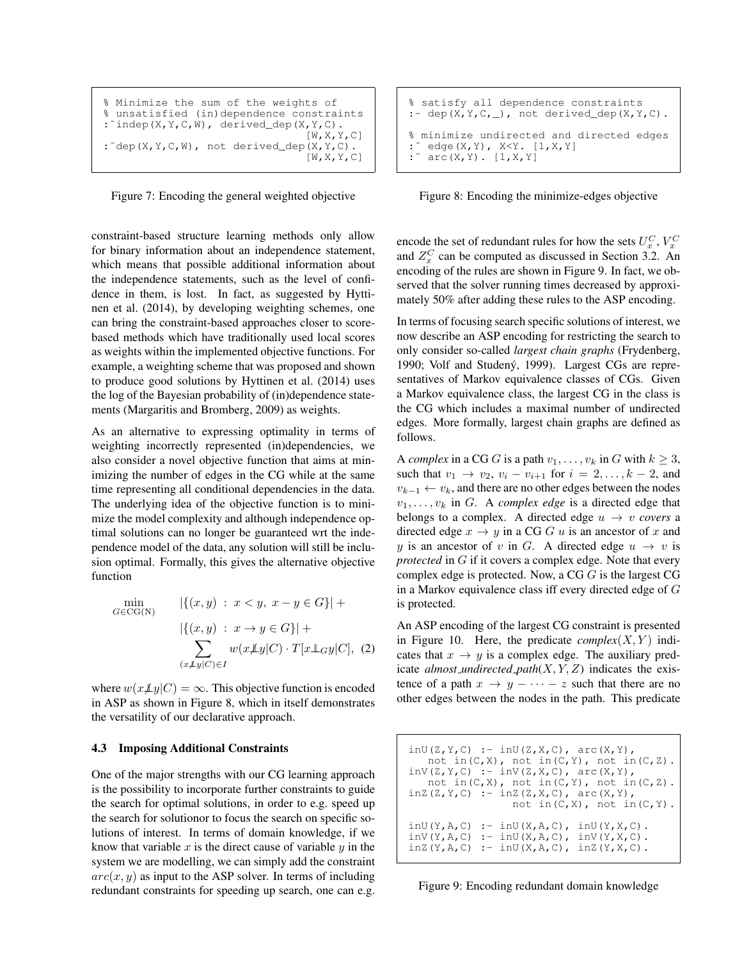```
% Minimize the sum of the weights of
% unsatisfied (in)dependence constraints
:\tilde{r}indep(X,Y,C,W), derived_dep(X,Y,C).
                                   [W, X, Y, C]: "dep(X, Y, C, W), not derived_dep(X, Y, C).
                                   [W, X, Y, C]
```
Figure 7: Encoding the general weighted objective

constraint-based structure learning methods only allow for binary information about an independence statement, which means that possible additional information about the independence statements, such as the level of confidence in them, is lost. In fact, as suggested by Hyttinen et al. (2014), by developing weighting schemes, one can bring the constraint-based approaches closer to scorebased methods which have traditionally used local scores as weights within the implemented objective functions. For example, a weighting scheme that was proposed and shown to produce good solutions by Hyttinen et al. (2014) uses the log of the Bayesian probability of (in)dependence statements (Margaritis and Bromberg, 2009) as weights.

As an alternative to expressing optimality in terms of weighting incorrectly represented (in)dependencies, we also consider a novel objective function that aims at minimizing the number of edges in the CG while at the same time representing all conditional dependencies in the data. The underlying idea of the objective function is to minimize the model complexity and although independence optimal solutions can no longer be guaranteed wrt the independence model of the data, any solution will still be inclusion optimal. Formally, this gives the alternative objective function

min  
\n
$$
G \in CG(N)
$$
 |{ $(x, y) : x < y, x - y \in G$ }| +  
\n|{ $(x, y) : x \to y \in G$ }| +  
\n
$$
\sum_{(x \neq y) \in G} w(x \neq y) C \cdot T[x \perp_G y] C], (2)
$$

where  $w(x \mathbb{L}y|C) = \infty$ . This objective function is encoded in ASP as shown in Figure 8, which in itself demonstrates the versatility of our declarative approach.

#### 4.3 Imposing Additional Constraints

One of the major strengths with our CG learning approach is the possibility to incorporate further constraints to guide the search for optimal solutions, in order to e.g. speed up the search for solutionor to focus the search on specific solutions of interest. In terms of domain knowledge, if we know that variable  $x$  is the direct cause of variable  $y$  in the system we are modelling, we can simply add the constraint  $arc(x, y)$  as input to the ASP solver. In terms of including redundant constraints for speeding up search, one can e.g. % satisfy all dependence constraints :-  $dep(X, Y, C, )$ , not derived\_dep(X,Y,C). % minimize undirected and directed edges :˜ edge(X,Y), X<Y. [1,X,Y]  $:$   $\overline{arc(X,Y)}$ . [1, X, Y]

Figure 8: Encoding the minimize-edges objective

encode the set of redundant rules for how the sets  $U_x^C$ ,  $V_x^C$ and  $Z_x^C$  can be computed as discussed in Section 3.2. An encoding of the rules are shown in Figure 9. In fact, we observed that the solver running times decreased by approximately 50% after adding these rules to the ASP encoding.

In terms of focusing search specific solutions of interest, we now describe an ASP encoding for restricting the search to only consider so-called *largest chain graphs* (Frydenberg, 1990; Volf and Studený, 1999). Largest CGs are representatives of Markov equivalence classes of CGs. Given a Markov equivalence class, the largest CG in the class is the CG which includes a maximal number of undirected edges. More formally, largest chain graphs are defined as follows.

A *complex* in a CG G is a path  $v_1, \ldots, v_k$  in G with  $k \geq 3$ , such that  $v_1 \rightarrow v_2$ ,  $v_i - v_{i+1}$  for  $i = 2, \ldots, k-2$ , and  $v_{k-1} \leftarrow v_k$ , and there are no other edges between the nodes  $v_1, \ldots, v_k$  in G. A *complex edge* is a directed edge that belongs to a complex. A directed edge  $u \rightarrow v$  *covers* a directed edge  $x \to y$  in a CG G u is an ancestor of x and y is an ancestor of v in G. A directed edge  $u \to v$  is *protected* in G if it covers a complex edge. Note that every complex edge is protected. Now, a CG  $G$  is the largest CG in a Markov equivalence class iff every directed edge of G is protected.

An ASP encoding of the largest CG constraint is presented in Figure 10. Here, the predicate  $complex(X, Y)$  indicates that  $x \rightarrow y$  is a complex edge. The auxiliary predicate *almost\_undirected\_path* $(X, Y, Z)$  indicates the existence of a path  $x \rightarrow y - \cdots - z$  such that there are no other edges between the nodes in the path. This predicate

```
inv(Z, Y, C) :- inv(Z, X, C), arc(X, Y),
   not in(C,X), not in(C,Y), not in(C,Z).
inv(Z,Y,C) :- inv(Z,X,C) , arc(X,Y) ,
   not in(C,X), not in(C,Y), not in(C,Z).
inz(Z,Y,C) := inZ(Z,X,C), arc(X,Y),not in(C, X), not in(C, Y).
inv(Y, A, C) :- inv(X, A, C), inv(Y, X, C).
inv(Y, A, C) :- inU(X,A,C), inV(Y,X,C).
inz(Y, A, C) :- inv(X, A, C), inz(Y, X, C).
```
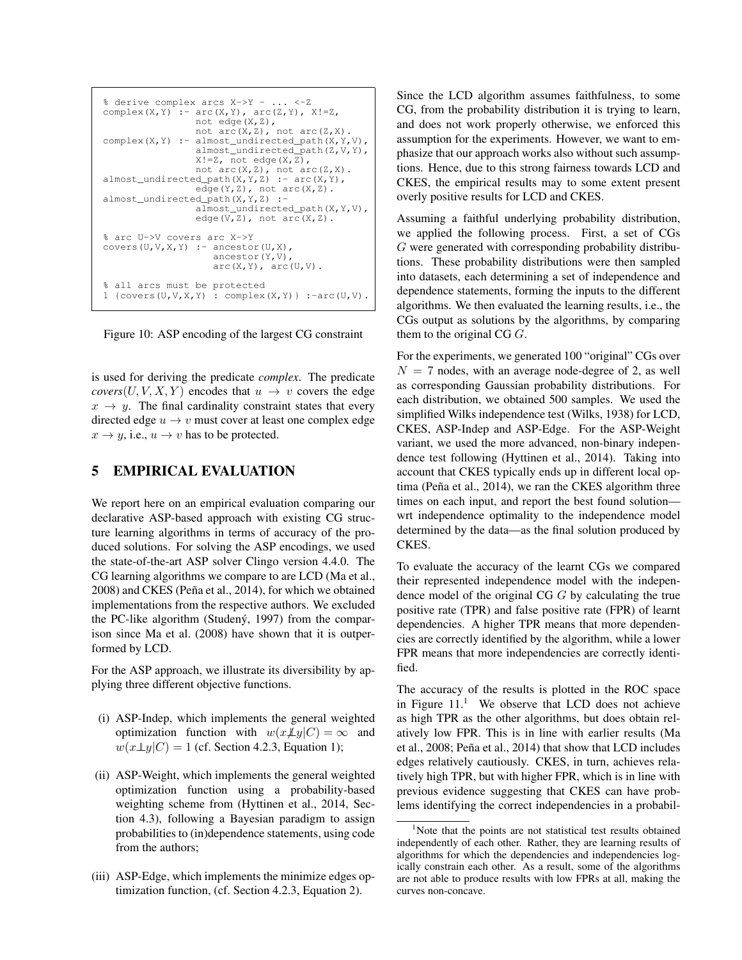```
derive complex arcs X->Y - ... <- Z
complex(X, Y) :- arc(X, Y), arc(Z, Y), X!=Z,
                 not edge(X,Z),
                 not arc(X, Z), not arc(Z, X).
complex(X,Y) :- almost_undirected_path(X,Y,V),
                 almost_undirected_path(Z,V,Y),
                 X!=Z, not edge(X, \overline{Z}),
                 not \text{arc}(X, Z), not \text{arc}(Z, X).
almost_undirected_path(X, Y, Z) :- arc(X, Y),
                 edge(Y,Z), not arc(X,Z).
almost_undirected_path(X, Y, Z) :
                 almost_undirected_path(X,Y,V),
                 edge(V,Z), not arc(X,Z).
% arc U->V covers arc X->Y
covers(U,V,X,Y) :- ancestor(U,X),
                    ancestor(Y,V),
                    arc(X,Y), arc(U,V).
% all arcs must be protected
1 {covers(U,V,X,Y) : complex(X,Y)} :-arc(U,V).
```
Figure 10: ASP encoding of the largest CG constraint

is used for deriving the predicate *complex*. The predicate *covers*(U, V, X, Y) encodes that  $u \rightarrow v$  covers the edge  $x \rightarrow y$ . The final cardinality constraint states that every directed edge  $u \rightarrow v$  must cover at least one complex edge  $x \rightarrow y$ , i.e.,  $u \rightarrow v$  has to be protected.

### 5 EMPIRICAL EVALUATION

We report here on an empirical evaluation comparing our declarative ASP-based approach with existing CG structure learning algorithms in terms of accuracy of the produced solutions. For solving the ASP encodings, we used the state-of-the-art ASP solver Clingo version 4.4.0. The CG learning algorithms we compare to are LCD (Ma et al., 2008) and CKES (Peña et al., 2014), for which we obtained implementations from the respective authors. We excluded the PC-like algorithm (Studený, 1997) from the comparison since Ma et al. (2008) have shown that it is outperformed by LCD.

For the ASP approach, we illustrate its diversibility by applying three different objective functions.

- (i) ASP-Indep, which implements the general weighted optimization function with  $w(x \mathcal{L}y|C) = \infty$  and  $w(x \perp y|C) = 1$  (cf. Section 4.2.3, Equation 1);
- (ii) ASP-Weight, which implements the general weighted optimization function using a probability-based weighting scheme from (Hyttinen et al., 2014, Section 4.3), following a Bayesian paradigm to assign probabilities to (in)dependence statements, using code from the authors;
- (iii) ASP-Edge, which implements the minimize edges optimization function, (cf. Section 4.2.3, Equation 2).

Since the LCD algorithm assumes faithfulness, to some CG, from the probability distribution it is trying to learn, and does not work properly otherwise, we enforced this assumption for the experiments. However, we want to emphasize that our approach works also without such assumptions. Hence, due to this strong fairness towards LCD and CKES, the empirical results may to some extent present overly positive results for LCD and CKES.

Assuming a faithful underlying probability distribution, we applied the following process. First, a set of CGs G were generated with corresponding probability distributions. These probability distributions were then sampled into datasets, each determining a set of independence and dependence statements, forming the inputs to the different algorithms. We then evaluated the learning results, i.e., the CGs output as solutions by the algorithms, by comparing them to the original CG  $G$ .

For the experiments, we generated 100 "original" CGs over  $N = 7$  nodes, with an average node-degree of 2, as well as corresponding Gaussian probability distributions. For each distribution, we obtained 500 samples. We used the simplified Wilks independence test (Wilks, 1938) for LCD, CKES, ASP-Indep and ASP-Edge. For the ASP-Weight variant, we used the more advanced, non-binary independence test following (Hyttinen et al., 2014). Taking into account that CKES typically ends up in different local optima (Peña et al., 2014), we ran the CKES algorithm three times on each input, and report the best found solution wrt independence optimality to the independence model determined by the data—as the final solution produced by CKES.

To evaluate the accuracy of the learnt CGs we compared their represented independence model with the independence model of the original CG G by calculating the true positive rate (TPR) and false positive rate (FPR) of learnt dependencies. A higher TPR means that more dependencies are correctly identified by the algorithm, while a lower FPR means that more independencies are correctly identified.

The accuracy of the results is plotted in the ROC space in Figure  $11<sup>1</sup>$  We observe that LCD does not achieve as high TPR as the other algorithms, but does obtain relatively low FPR. This is in line with earlier results (Ma et al., 2008; Peña et al., 2014) that show that LCD includes edges relatively cautiously. CKES, in turn, achieves relatively high TPR, but with higher FPR, which is in line with previous evidence suggesting that CKES can have problems identifying the correct independencies in a probabil-

<sup>&</sup>lt;sup>1</sup>Note that the points are not statistical test results obtained independently of each other. Rather, they are learning results of algorithms for which the dependencies and independencies logically constrain each other. As a result, some of the algorithms are not able to produce results with low FPRs at all, making the curves non-concave.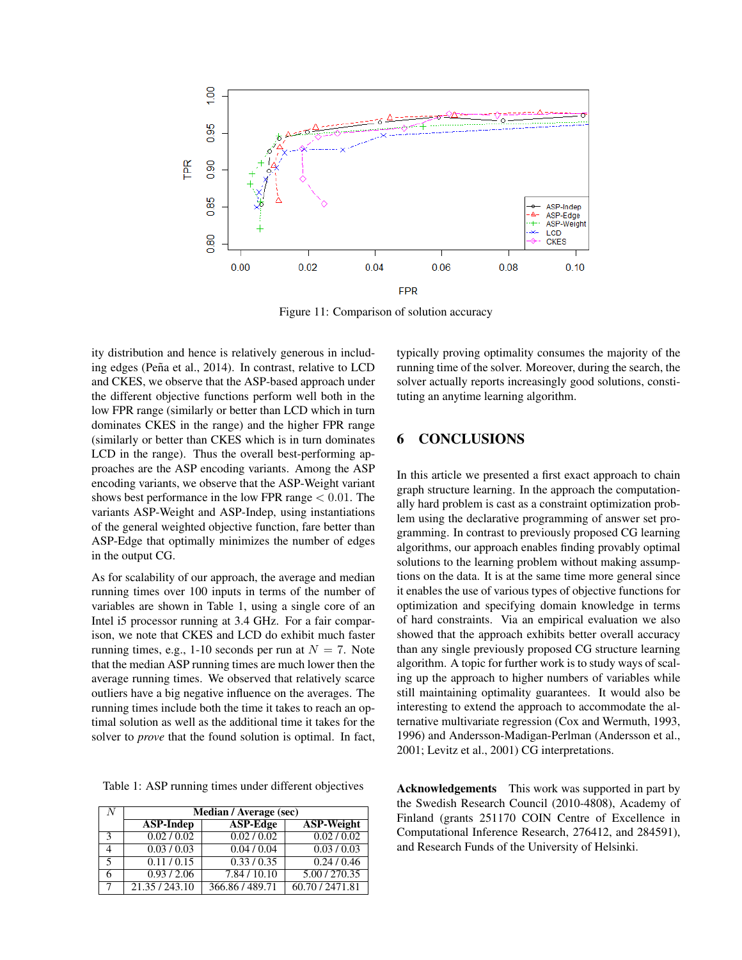

Figure 11: Comparison of solution accuracy

ity distribution and hence is relatively generous in including edges (Peña et al., 2014). In contrast, relative to LCD and CKES, we observe that the ASP-based approach under the different objective functions perform well both in the low FPR range (similarly or better than LCD which in turn dominates CKES in the range) and the higher FPR range (similarly or better than CKES which is in turn dominates LCD in the range). Thus the overall best-performing approaches are the ASP encoding variants. Among the ASP encoding variants, we observe that the ASP-Weight variant shows best performance in the low FPR range  $< 0.01$ . The variants ASP-Weight and ASP-Indep, using instantiations of the general weighted objective function, fare better than ASP-Edge that optimally minimizes the number of edges in the output CG.

As for scalability of our approach, the average and median running times over 100 inputs in terms of the number of variables are shown in Table 1, using a single core of an Intel i5 processor running at 3.4 GHz. For a fair comparison, we note that CKES and LCD do exhibit much faster running times, e.g., 1-10 seconds per run at  $N = 7$ . Note that the median ASP running times are much lower then the average running times. We observed that relatively scarce outliers have a big negative influence on the averages. The running times include both the time it takes to reach an optimal solution as well as the additional time it takes for the solver to *prove* that the found solution is optimal. In fact,

Table 1: ASP running times under different objectives

| N | Median / Average (sec) |                        |                   |
|---|------------------------|------------------------|-------------------|
|   | <b>ASP-Indep</b>       | <b>ASP-Edge</b>        | <b>ASP-Weight</b> |
| 3 | 0.02 / 0.02            | $\overline{0.02/0.02}$ | 0.02 / 0.02       |
|   | 0.03 / 0.03            | 0.04 / 0.04            | 0.03 / 0.03       |
| 5 | 0.11/0.15              | 0.33/0.35              | 0.24/0.46         |
| 6 | 0.93/2.06              | 7.84 / 10.10           | 5.00 / 270.35     |
|   | 21.35 / 243.10         | 366.86 / 489.71        | 60.70 / 2471.81   |

typically proving optimality consumes the majority of the running time of the solver. Moreover, during the search, the solver actually reports increasingly good solutions, constituting an anytime learning algorithm.

# 6 CONCLUSIONS

In this article we presented a first exact approach to chain graph structure learning. In the approach the computationally hard problem is cast as a constraint optimization problem using the declarative programming of answer set programming. In contrast to previously proposed CG learning algorithms, our approach enables finding provably optimal solutions to the learning problem without making assumptions on the data. It is at the same time more general since it enables the use of various types of objective functions for optimization and specifying domain knowledge in terms of hard constraints. Via an empirical evaluation we also showed that the approach exhibits better overall accuracy than any single previously proposed CG structure learning algorithm. A topic for further work is to study ways of scaling up the approach to higher numbers of variables while still maintaining optimality guarantees. It would also be interesting to extend the approach to accommodate the alternative multivariate regression (Cox and Wermuth, 1993, 1996) and Andersson-Madigan-Perlman (Andersson et al., 2001; Levitz et al., 2001) CG interpretations.

Acknowledgements This work was supported in part by the Swedish Research Council (2010-4808), Academy of Finland (grants 251170 COIN Centre of Excellence in Computational Inference Research, 276412, and 284591), and Research Funds of the University of Helsinki.